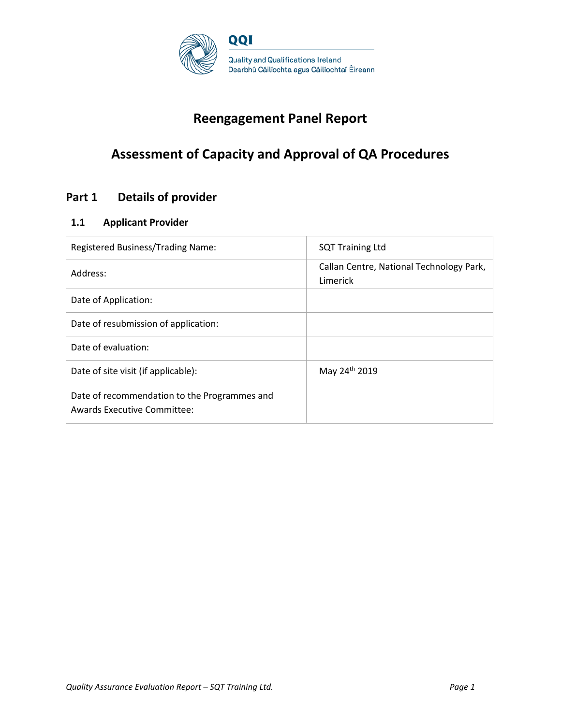

# **Reengagement Panel Report**

# **Assessment of Capacity and Approval of QA Procedures**

## **Part 1 Details of provider**

### **1.1 Applicant Provider**

| Registered Business/Trading Name:                                           | <b>SQT Training Ltd</b>                              |
|-----------------------------------------------------------------------------|------------------------------------------------------|
| Address:                                                                    | Callan Centre, National Technology Park,<br>Limerick |
| Date of Application:                                                        |                                                      |
| Date of resubmission of application:                                        |                                                      |
| Date of evaluation:                                                         |                                                      |
| Date of site visit (if applicable):                                         | May 24th 2019                                        |
| Date of recommendation to the Programmes and<br>Awards Executive Committee: |                                                      |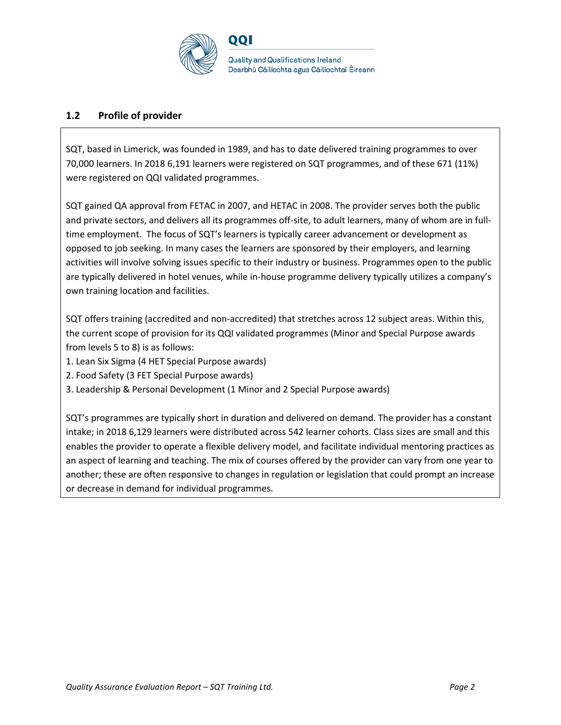

### **1.2 Profile of provider**

SQT, based in Limerick, was founded in 1989, and has to date delivered training programmes to over 70,000 learners. In 2018 6,191 learners were registered on SQT programmes, and of these 671 (11%) were registered on QQI validated programmes.

SQT gained QA approval from FETAC in 2007, and HETAC in 2008. The provider serves both the public and private sectors, and delivers all its programmes off-site, to adult learners, many of whom are in fulltime employment. The focus of SQT's learners is typically career advancement or development as opposed to job seeking. In many cases the learners are sponsored by their employers, and learning activities will involve solving issues specific to their industry or business. Programmes open to the public are typically delivered in hotel venues, while in-house programme delivery typically utilizes a company's own training location and facilities.

SQT offers training (accredited and non-accredited) that stretches across 12 subject areas. Within this, the current scope of provision for its QQI validated programmes (Minor and Special Purpose awards from levels 5 to 8) is as follows:

- 1. Lean Six Sigma (4 HET Special Purpose awards)
- 2. Food Safety (3 FET Special Purpose awards)
- 3. Leadership & Personal Development (1 Minor and 2 Special Purpose awards)

SQT's programmes are typically short in duration and delivered on demand. The provider has a constant intake; in 2018 6,129 learners were distributed across 542 learner cohorts. Class sizes are small and this enables the provider to operate a flexible delivery model, and facilitate individual mentoring practices as an aspect of learning and teaching. The mix of courses offered by the provider can vary from one year to another; these are often responsive to changes in regulation or legislation that could prompt an increase or decrease in demand for individual programmes.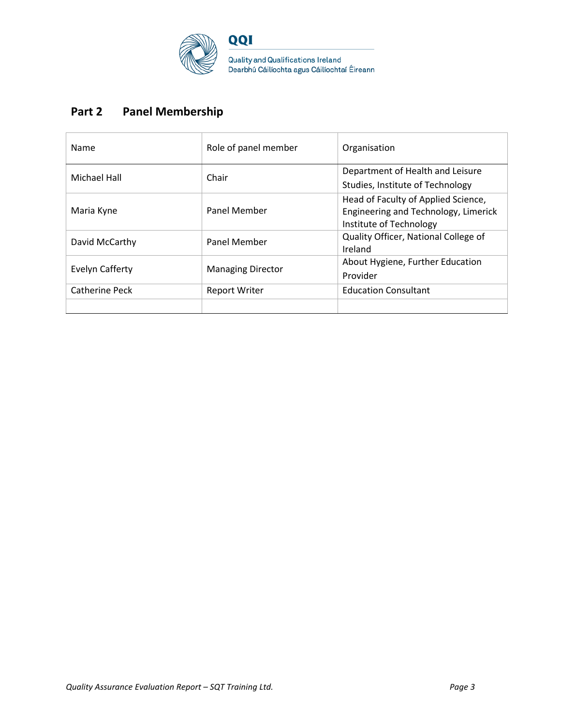

# **Part 2 Panel Membership**

| Name            | Role of panel member     | Organisation                                                                                           |
|-----------------|--------------------------|--------------------------------------------------------------------------------------------------------|
| Michael Hall    | Chair                    | Department of Health and Leisure<br>Studies, Institute of Technology                                   |
| Maria Kyne      | Panel Member             | Head of Faculty of Applied Science,<br>Engineering and Technology, Limerick<br>Institute of Technology |
| David McCarthy  | <b>Panel Member</b>      | Quality Officer, National College of<br>Ireland                                                        |
| Evelyn Cafferty | <b>Managing Director</b> | About Hygiene, Further Education<br>Provider                                                           |
| Catherine Peck  | Report Writer            | <b>Education Consultant</b>                                                                            |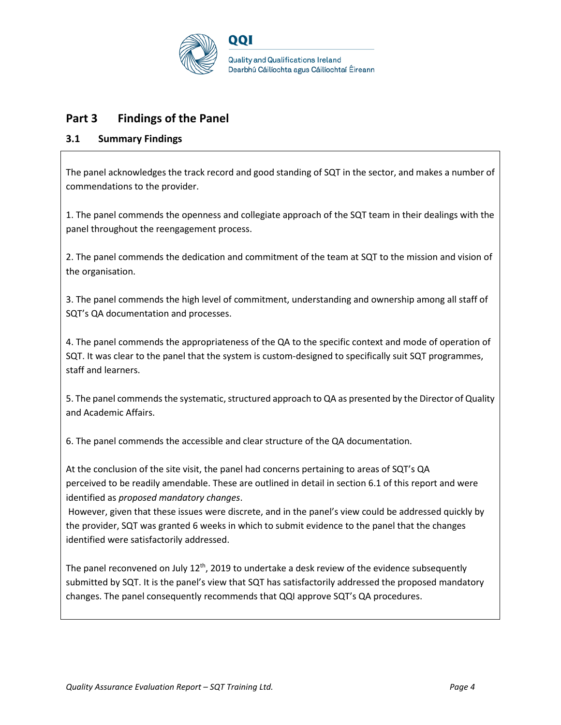

## **Part 3 Findings of the Panel**

### **3.1 Summary Findings**

The panel acknowledges the track record and good standing of SQT in the sector, and makes a number of commendations to the provider.

1. The panel commends the openness and collegiate approach of the SQT team in their dealings with the panel throughout the reengagement process.

2. The panel commends the dedication and commitment of the team at SQT to the mission and vision of the organisation.

3. The panel commends the high level of commitment, understanding and ownership among all staff of SQT's QA documentation and processes.

4. The panel commends the appropriateness of the QA to the specific context and mode of operation of SQT. It was clear to the panel that the system is custom-designed to specifically suit SQT programmes, staff and learners.

5. The panel commends the systematic, structured approach to QA as presented by the Director of Quality and Academic Affairs.

6. The panel commends the accessible and clear structure of the QA documentation.

At the conclusion of the site visit, the panel had concerns pertaining to areas of SQT's QA perceived to be readily amendable. These are outlined in detail in section 6.1 of this report and were identified as *proposed mandatory changes*.

However, given that these issues were discrete, and in the panel's view could be addressed quickly by the provider, SQT was granted 6 weeks in which to submit evidence to the panel that the changes identified were satisfactorily addressed.

The panel reconvened on July  $12<sup>th</sup>$ , 2019 to undertake a desk review of the evidence subsequently submitted by SQT. It is the panel's view that SQT has satisfactorily addressed the proposed mandatory changes. The panel consequently recommends that QQI approve SQT's QA procedures.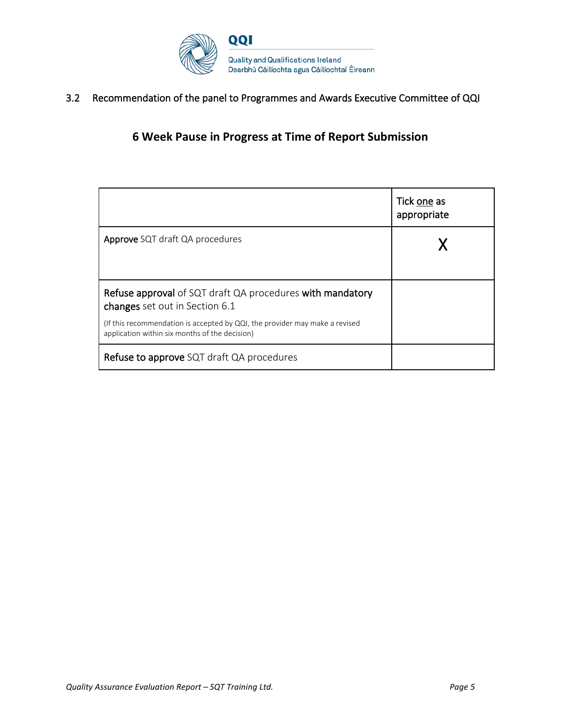

3.2 Recommendation of the panel to Programmes and Awards Executive Committee of QQI

## **6 Week Pause in Progress at Time of Report Submission**

|                                                                                                                               | Tick one as<br>appropriate |
|-------------------------------------------------------------------------------------------------------------------------------|----------------------------|
| <b>Approve</b> SQT draft QA procedures                                                                                        |                            |
| Refuse approval of SQT draft QA procedures with mandatory<br>changes set out in Section 6.1                                   |                            |
| (If this recommendation is accepted by QQI, the provider may make a revised<br>application within six months of the decision) |                            |
| Refuse to approve SQT draft QA procedures                                                                                     |                            |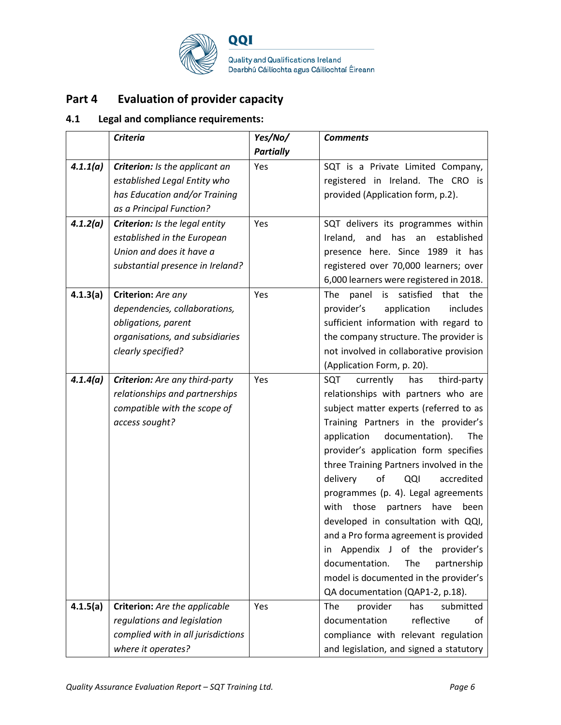

# **Part 4 Evaluation of provider capacity**

## **4.1 Legal and compliance requirements:**

|          | <b>Criteria</b>                    | Yes/No/          | <b>Comments</b>                             |
|----------|------------------------------------|------------------|---------------------------------------------|
|          |                                    | <b>Partially</b> |                                             |
| 4.1.1(a) | Criterion: Is the applicant an     | Yes              | SQT is a Private Limited Company,           |
|          | established Legal Entity who       |                  | registered in Ireland. The CRO is           |
|          | has Education and/or Training      |                  | provided (Application form, p.2).           |
|          | as a Principal Function?           |                  |                                             |
| 4.1.2(a) | Criterion: Is the legal entity     | Yes              | SQT delivers its programmes within          |
|          | established in the European        |                  | Ireland,<br>and<br>has an<br>established    |
|          | Union and does it have a           |                  | presence here. Since 1989 it has            |
|          | substantial presence in Ireland?   |                  | registered over 70,000 learners; over       |
|          |                                    |                  | 6,000 learners were registered in 2018.     |
| 4.1.3(a) | Criterion: Are any                 | Yes              | satisfied<br>is<br>that the<br>The<br>panel |
|          | dependencies, collaborations,      |                  | provider's<br>application<br>includes       |
|          | obligations, parent                |                  | sufficient information with regard to       |
|          | organisations, and subsidiaries    |                  | the company structure. The provider is      |
|          | clearly specified?                 |                  | not involved in collaborative provision     |
|          |                                    |                  | (Application Form, p. 20).                  |
| 4.1.4(a) | Criterion: Are any third-party     | Yes              | SQT<br>currently<br>has<br>third-party      |
|          | relationships and partnerships     |                  | relationships with partners who are         |
|          | compatible with the scope of       |                  | subject matter experts (referred to as      |
|          | access sought?                     |                  | Training Partners in the provider's         |
|          |                                    |                  | documentation).<br>application<br>The       |
|          |                                    |                  | provider's application form specifies       |
|          |                                    |                  | three Training Partners involved in the     |
|          |                                    |                  | of<br>delivery<br>QQI<br>accredited         |
|          |                                    |                  | programmes (p. 4). Legal agreements         |
|          |                                    |                  | those<br>have<br>with<br>partners<br>been   |
|          |                                    |                  | developed in consultation with QQI,         |
|          |                                    |                  | and a Pro forma agreement is provided       |
|          |                                    |                  | Appendix J of the<br>provider's<br>in.      |
|          |                                    |                  | documentation.<br>The<br>partnership        |
|          |                                    |                  | model is documented in the provider's       |
|          |                                    |                  | QA documentation (QAP1-2, p.18).            |
| 4.1.5(a) | Criterion: Are the applicable      | Yes              | provider<br>The<br>has<br>submitted         |
|          | regulations and legislation        |                  | reflective<br>documentation<br>οf           |
|          | complied with in all jurisdictions |                  | compliance with relevant regulation         |
|          | where it operates?                 |                  | and legislation, and signed a statutory     |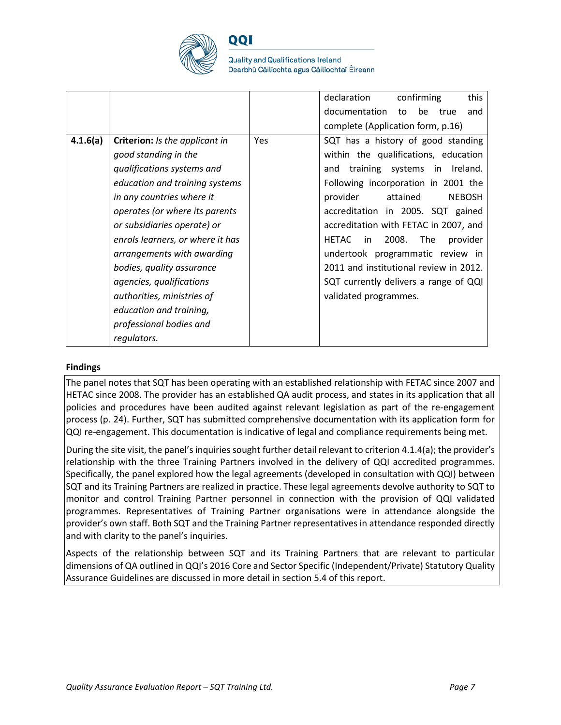

**Quality and Qualifications Ireland** Dearbhú Cáilíochta agus Cáilíochtaí Éireann

|          |                                  |     | declaration<br>confirming<br>this              |
|----------|----------------------------------|-----|------------------------------------------------|
|          |                                  |     | documentation<br>be<br>to<br>true<br>and       |
|          |                                  |     | complete (Application form, p.16)              |
| 4.1.6(a) | Criterion: Is the applicant in   | Yes | SQT has a history of good standing             |
|          | good standing in the             |     | within the qualifications, education           |
|          | qualifications systems and       |     | training systems in Ireland.<br>and            |
|          | education and training systems   |     | Following incorporation in 2001 the            |
|          | in any countries where it        |     | provider<br>attained<br><b>NEBOSH</b>          |
|          | operates (or where its parents   |     | accreditation in 2005. SQT gained              |
|          | or subsidiaries operate) or      |     | accreditation with FETAC in 2007, and          |
|          | enrols learners, or where it has |     | 2008.<br><b>HETAC</b><br>The<br>provider<br>in |
|          | arrangements with awarding       |     | undertook programmatic review in               |
|          | bodies, quality assurance        |     | 2011 and institutional review in 2012.         |
|          | agencies, qualifications         |     | SQT currently delivers a range of QQI          |
|          | authorities, ministries of       |     | validated programmes.                          |
|          | education and training,          |     |                                                |
|          | professional bodies and          |     |                                                |
|          | regulators.                      |     |                                                |

#### **Findings**

The panel notes that SQT has been operating with an established relationship with FETAC since 2007 and HETAC since 2008. The provider has an established QA audit process, and states in its application that all policies and procedures have been audited against relevant legislation as part of the re-engagement process (p. 24). Further, SQT has submitted comprehensive documentation with its application form for QQI re-engagement. This documentation is indicative of legal and compliance requirements being met.

During the site visit, the panel's inquiries sought further detail relevant to criterion 4.1.4(a); the provider's relationship with the three Training Partners involved in the delivery of QQI accredited programmes. Specifically, the panel explored how the legal agreements (developed in consultation with QQI) between SQT and its Training Partners are realized in practice. These legal agreements devolve authority to SQT to monitor and control Training Partner personnel in connection with the provision of QQI validated programmes. Representatives of Training Partner organisations were in attendance alongside the provider's own staff. Both SQT and the Training Partner representatives in attendance responded directly and with clarity to the panel's inquiries.

Aspects of the relationship between SQT and its Training Partners that are relevant to particular dimensions of QA outlined in QQI's 2016 Core and Sector Specific (Independent/Private) Statutory Quality Assurance Guidelines are discussed in more detail in section 5.4 of this report.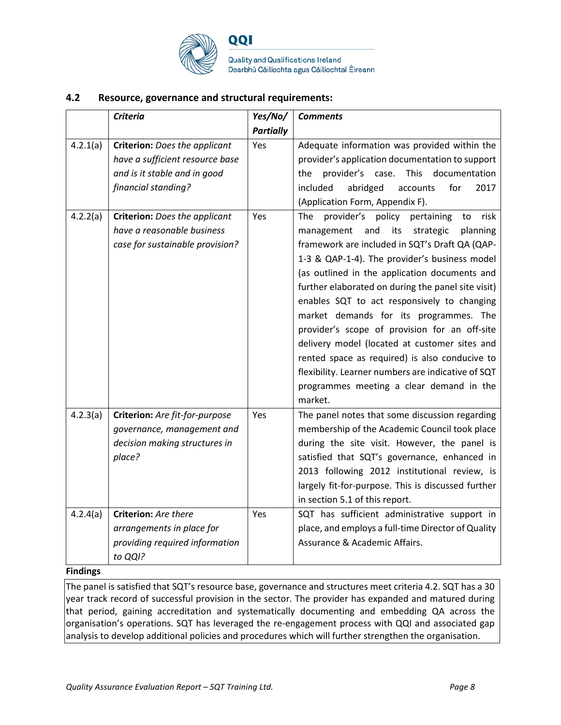

**Quality and Qualifications Ireland** Dearbhú Cáilíochta agus Cáilíochtaí Éireann

#### **4.2 Resource, governance and structural requirements:**

|          | <b>Criteria</b>                                                                                                                | Yes/No/          | <b>Comments</b>                                                                                                                                                                                                                                                                                                                                                                                                                                                                                                                                                                                                                                                               |
|----------|--------------------------------------------------------------------------------------------------------------------------------|------------------|-------------------------------------------------------------------------------------------------------------------------------------------------------------------------------------------------------------------------------------------------------------------------------------------------------------------------------------------------------------------------------------------------------------------------------------------------------------------------------------------------------------------------------------------------------------------------------------------------------------------------------------------------------------------------------|
|          |                                                                                                                                | <b>Partially</b> |                                                                                                                                                                                                                                                                                                                                                                                                                                                                                                                                                                                                                                                                               |
| 4.2.1(a) | <b>Criterion:</b> Does the applicant<br>have a sufficient resource base<br>and is it stable and in good<br>financial standing? | Yes              | Adequate information was provided within the<br>provider's application documentation to support<br>provider's<br>This<br>documentation<br>the<br>case.<br>included<br>abridged<br>2017<br>accounts<br>for<br>(Application Form, Appendix F).                                                                                                                                                                                                                                                                                                                                                                                                                                  |
| 4.2.2(a) | <b>Criterion:</b> Does the applicant<br>have a reasonable business<br>case for sustainable provision?                          | Yes              | provider's policy<br>The<br>risk<br>pertaining<br>to<br>management<br>and<br>its<br>strategic<br>planning<br>framework are included in SQT's Draft QA (QAP-<br>1-3 & QAP-1-4). The provider's business model<br>(as outlined in the application documents and<br>further elaborated on during the panel site visit)<br>enables SQT to act responsively to changing<br>market demands for its programmes. The<br>provider's scope of provision for an off-site<br>delivery model (located at customer sites and<br>rented space as required) is also conducive to<br>flexibility. Learner numbers are indicative of SQT<br>programmes meeting a clear demand in the<br>market. |
| 4.2.3(a) | Criterion: Are fit-for-purpose<br>governance, management and<br>decision making structures in<br>place?                        | Yes              | The panel notes that some discussion regarding<br>membership of the Academic Council took place<br>during the site visit. However, the panel is<br>satisfied that SQT's governance, enhanced in<br>2013 following 2012 institutional review, is<br>largely fit-for-purpose. This is discussed further<br>in section 5.1 of this report.                                                                                                                                                                                                                                                                                                                                       |
| 4.2.4(a) | Criterion: Are there<br>arrangements in place for<br>providing required information<br>to QQI?                                 | Yes              | SQT has sufficient administrative support in<br>place, and employs a full-time Director of Quality<br>Assurance & Academic Affairs.                                                                                                                                                                                                                                                                                                                                                                                                                                                                                                                                           |

#### **Findings**

The panel is satisfied that SQT's resource base, governance and structures meet criteria 4.2. SQT has a 30 year track record of successful provision in the sector. The provider has expanded and matured during that period, gaining accreditation and systematically documenting and embedding QA across the organisation's operations. SQT has leveraged the re-engagement process with QQI and associated gap analysis to develop additional policies and procedures which will further strengthen the organisation.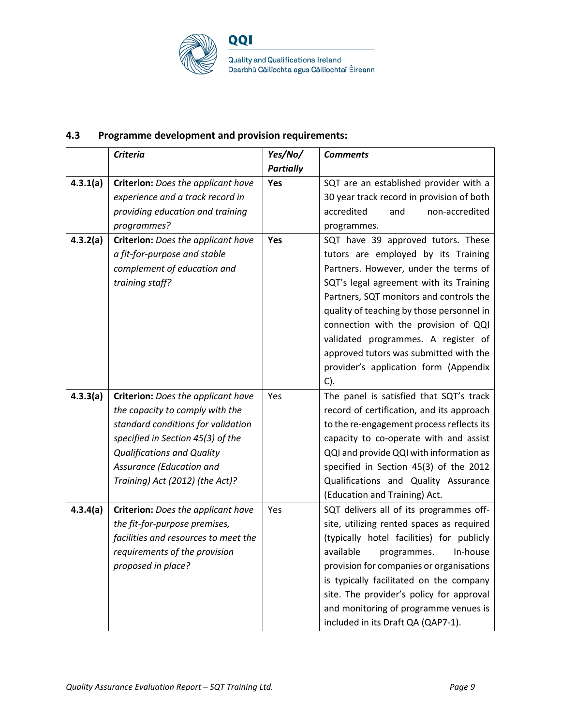

### **4.3 Programme development and provision requirements:**

|          | <b>Criteria</b>                      | Yes/No/          | <b>Comments</b>                           |
|----------|--------------------------------------|------------------|-------------------------------------------|
|          |                                      | <b>Partially</b> |                                           |
| 4.3.1(a) | Criterion: Does the applicant have   | Yes              | SQT are an established provider with a    |
|          | experience and a track record in     |                  | 30 year track record in provision of both |
|          | providing education and training     |                  | and<br>non-accredited<br>accredited       |
|          | programmes?                          |                  | programmes.                               |
| 4.3.2(a) | Criterion: Does the applicant have   | Yes              | SQT have 39 approved tutors. These        |
|          | a fit-for-purpose and stable         |                  | tutors are employed by its Training       |
|          | complement of education and          |                  | Partners. However, under the terms of     |
|          | training staff?                      |                  | SQT's legal agreement with its Training   |
|          |                                      |                  | Partners, SQT monitors and controls the   |
|          |                                      |                  | quality of teaching by those personnel in |
|          |                                      |                  | connection with the provision of QQI      |
|          |                                      |                  | validated programmes. A register of       |
|          |                                      |                  | approved tutors was submitted with the    |
|          |                                      |                  | provider's application form (Appendix     |
|          |                                      |                  | $C$ ).                                    |
| 4.3.3(a) | Criterion: Does the applicant have   | Yes              | The panel is satisfied that SQT's track   |
|          | the capacity to comply with the      |                  | record of certification, and its approach |
|          | standard conditions for validation   |                  | to the re-engagement process reflects its |
|          | specified in Section 45(3) of the    |                  | capacity to co-operate with and assist    |
|          | <b>Qualifications and Quality</b>    |                  | QQI and provide QQI with information as   |
|          | Assurance (Education and             |                  | specified in Section 45(3) of the 2012    |
|          | Training) Act (2012) (the Act)?      |                  | Qualifications and Quality Assurance      |
|          |                                      |                  | (Education and Training) Act.             |
| 4.3.4(a) | Criterion: Does the applicant have   | Yes              | SQT delivers all of its programmes off-   |
|          | the fit-for-purpose premises,        |                  | site, utilizing rented spaces as required |
|          | facilities and resources to meet the |                  | (typically hotel facilities) for publicly |
|          | requirements of the provision        |                  | available<br>In-house<br>programmes.      |
|          | proposed in place?                   |                  | provision for companies or organisations  |
|          |                                      |                  | is typically facilitated on the company   |
|          |                                      |                  | site. The provider's policy for approval  |
|          |                                      |                  | and monitoring of programme venues is     |
|          |                                      |                  | included in its Draft QA (QAP7-1).        |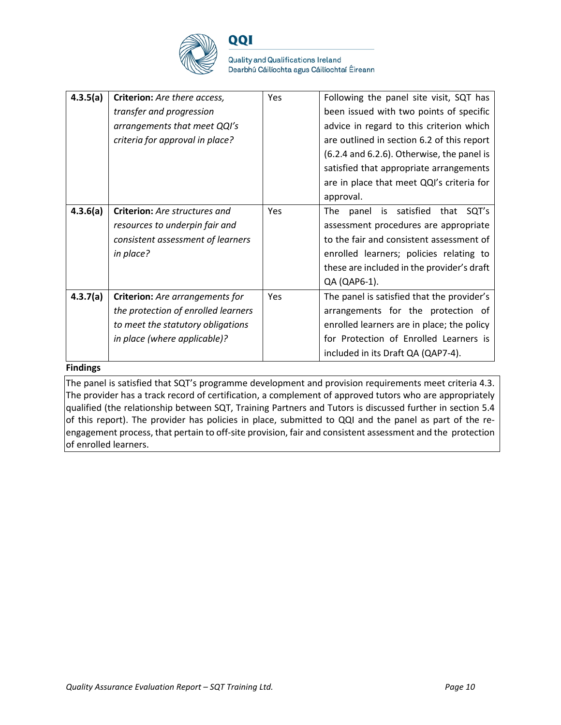

**Quality and Qualifications Ireland** Dearbhú Cáilíochta agus Cáilíochtaí Éireann

| 4.3.5(a) | Criterion: Are there access,<br>transfer and progression<br>arrangements that meet QQI's<br>criteria for approval in place?                        | Yes | Following the panel site visit, SQT has<br>been issued with two points of specific<br>advice in regard to this criterion which<br>are outlined in section 6.2 of this report<br>(6.2.4 and 6.2.6). Otherwise, the panel is                |
|----------|----------------------------------------------------------------------------------------------------------------------------------------------------|-----|-------------------------------------------------------------------------------------------------------------------------------------------------------------------------------------------------------------------------------------------|
|          |                                                                                                                                                    |     | satisfied that appropriate arrangements<br>are in place that meet QQI's criteria for<br>approval.                                                                                                                                         |
| 4.3.6(a) | <b>Criterion:</b> Are structures and<br>resources to underpin fair and<br>consistent assessment of learners<br>in place?                           | Yes | panel is satisfied that SQT's<br><b>The</b><br>assessment procedures are appropriate<br>to the fair and consistent assessment of<br>enrolled learners; policies relating to<br>these are included in the provider's draft<br>QA (QAP6-1). |
| 4.3.7(a) | <b>Criterion:</b> Are arrangements for<br>the protection of enrolled learners<br>to meet the statutory obligations<br>in place (where applicable)? | Yes | The panel is satisfied that the provider's<br>arrangements for the protection of<br>enrolled learners are in place; the policy<br>for Protection of Enrolled Learners is<br>included in its Draft QA (QAP7-4).                            |

#### **Findings**

The panel is satisfied that SQT's programme development and provision requirements meet criteria 4.3. The provider has a track record of certification, a complement of approved tutors who are appropriately qualified (the relationship between SQT, Training Partners and Tutors is discussed further in section 5.4 of this report). The provider has policies in place, submitted to QQI and the panel as part of the reengagement process, that pertain to off-site provision, fair and consistent assessment and the protection of enrolled learners.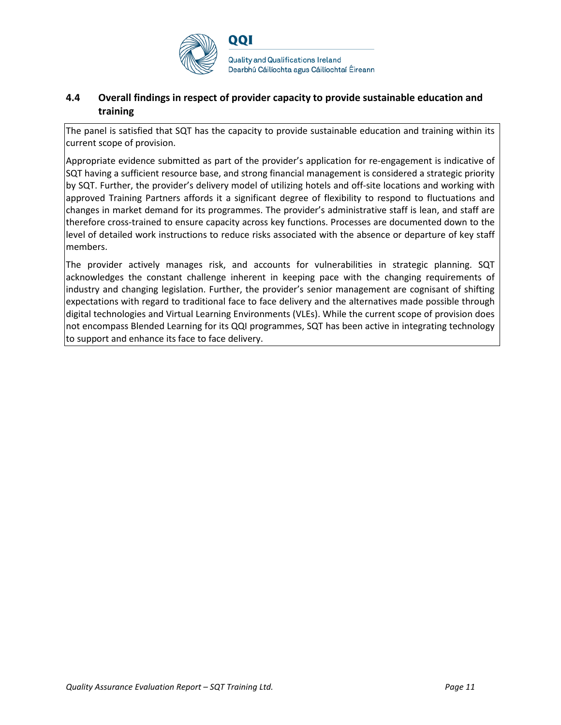

### **4.4 Overall findings in respect of provider capacity to provide sustainable education and training**

The panel is satisfied that SQT has the capacity to provide sustainable education and training within its current scope of provision.

Appropriate evidence submitted as part of the provider's application for re-engagement is indicative of SQT having a sufficient resource base, and strong financial management is considered a strategic priority by SQT. Further, the provider's delivery model of utilizing hotels and off-site locations and working with approved Training Partners affords it a significant degree of flexibility to respond to fluctuations and changes in market demand for its programmes. The provider's administrative staff is lean, and staff are therefore cross-trained to ensure capacity across key functions. Processes are documented down to the level of detailed work instructions to reduce risks associated with the absence or departure of key staff members.

The provider actively manages risk, and accounts for vulnerabilities in strategic planning. SQT acknowledges the constant challenge inherent in keeping pace with the changing requirements of industry and changing legislation. Further, the provider's senior management are cognisant of shifting expectations with regard to traditional face to face delivery and the alternatives made possible through digital technologies and Virtual Learning Environments (VLEs). While the current scope of provision does not encompass Blended Learning for its QQI programmes, SQT has been active in integrating technology to support and enhance its face to face delivery.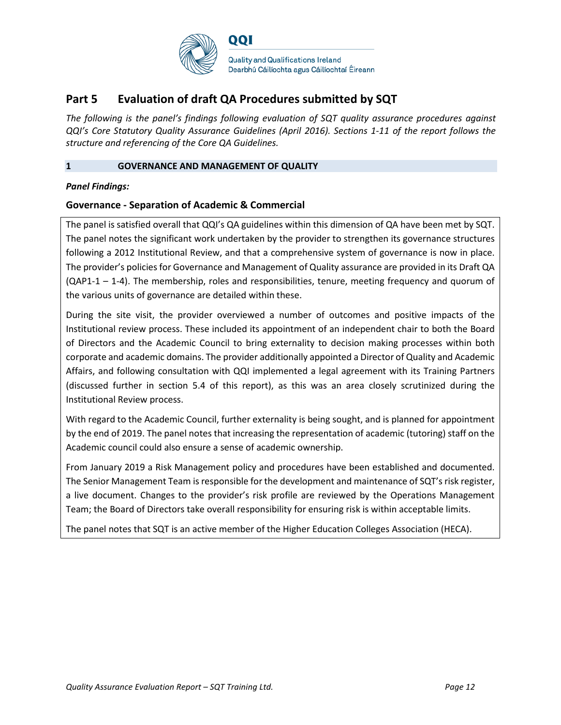

## **Part 5 Evaluation of draft QA Procedures submitted by SQT**

*The following is the panel's findings following evaluation of SQT quality assurance procedures against QQI's Core Statutory Quality Assurance Guidelines (April 2016). Sections 1-11 of the report follows the structure and referencing of the Core QA Guidelines.* 

#### **1 GOVERNANCE AND MANAGEMENT OF QUALITY**

#### *Panel Findings:*

#### **Governance - Separation of Academic & Commercial**

The panel is satisfied overall that QQI's QA guidelines within this dimension of QA have been met by SQT. The panel notes the significant work undertaken by the provider to strengthen its governance structures following a 2012 Institutional Review, and that a comprehensive system of governance is now in place. The provider's policies for Governance and Management of Quality assurance are provided in its Draft QA (QAP1-1 – 1-4). The membership, roles and responsibilities, tenure, meeting frequency and quorum of the various units of governance are detailed within these.

During the site visit, the provider overviewed a number of outcomes and positive impacts of the Institutional review process. These included its appointment of an independent chair to both the Board of Directors and the Academic Council to bring externality to decision making processes within both corporate and academic domains. The provider additionally appointed a Director of Quality and Academic Affairs, and following consultation with QQI implemented a legal agreement with its Training Partners (discussed further in section 5.4 of this report), as this was an area closely scrutinized during the Institutional Review process.

With regard to the Academic Council, further externality is being sought, and is planned for appointment by the end of 2019. The panel notes that increasing the representation of academic (tutoring) staff on the Academic council could also ensure a sense of academic ownership.

From January 2019 a Risk Management policy and procedures have been established and documented. The Senior Management Team is responsible for the development and maintenance of SQT's risk register, a live document. Changes to the provider's risk profile are reviewed by the Operations Management Team; the Board of Directors take overall responsibility for ensuring risk is within acceptable limits.

The panel notes that SQT is an active member of the Higher Education Colleges Association (HECA).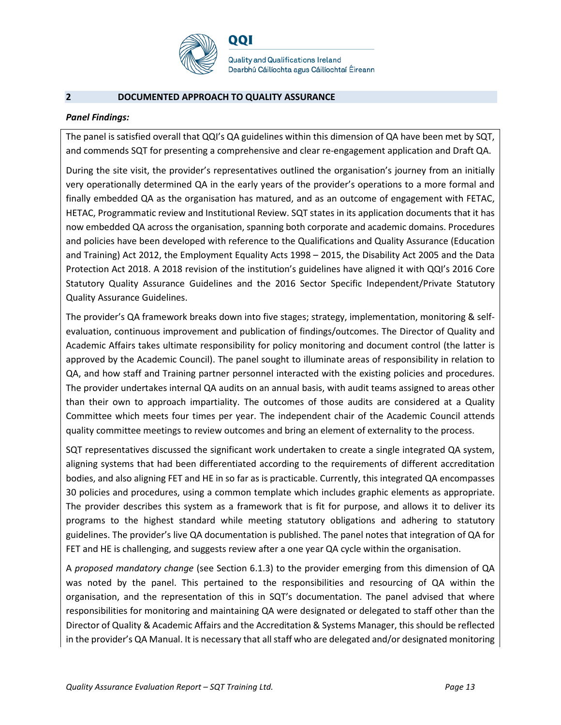

**Quality and Qualifications Ireland** Dearbhú Cáilíochta agus Cáilíochtaí Éireann

#### **2 DOCUMENTED APPROACH TO QUALITY ASSURANCE**

#### *Panel Findings:*

The panel is satisfied overall that QQI's QA guidelines within this dimension of QA have been met by SQT, and commends SQT for presenting a comprehensive and clear re-engagement application and Draft QA.

During the site visit, the provider's representatives outlined the organisation's journey from an initially very operationally determined QA in the early years of the provider's operations to a more formal and finally embedded QA as the organisation has matured, and as an outcome of engagement with FETAC, HETAC, Programmatic review and Institutional Review. SQT states in its application documents that it has now embedded QA across the organisation, spanning both corporate and academic domains. Procedures and policies have been developed with reference to the Qualifications and Quality Assurance (Education and Training) Act 2012, the Employment Equality Acts 1998 – 2015, the Disability Act 2005 and the Data Protection Act 2018. A 2018 revision of the institution's guidelines have aligned it with QQI's 2016 Core Statutory Quality Assurance Guidelines and the 2016 Sector Specific Independent/Private Statutory Quality Assurance Guidelines.

The provider's QA framework breaks down into five stages; strategy, implementation, monitoring & selfevaluation, continuous improvement and publication of findings/outcomes. The Director of Quality and Academic Affairs takes ultimate responsibility for policy monitoring and document control (the latter is approved by the Academic Council). The panel sought to illuminate areas of responsibility in relation to QA, and how staff and Training partner personnel interacted with the existing policies and procedures. The provider undertakes internal QA audits on an annual basis, with audit teams assigned to areas other than their own to approach impartiality. The outcomes of those audits are considered at a Quality Committee which meets four times per year. The independent chair of the Academic Council attends quality committee meetings to review outcomes and bring an element of externality to the process.

SQT representatives discussed the significant work undertaken to create a single integrated QA system, aligning systems that had been differentiated according to the requirements of different accreditation bodies, and also aligning FET and HE in so far as is practicable. Currently, this integrated QA encompasses 30 policies and procedures, using a common template which includes graphic elements as appropriate. The provider describes this system as a framework that is fit for purpose, and allows it to deliver its programs to the highest standard while meeting statutory obligations and adhering to statutory guidelines. The provider's live QA documentation is published. The panel notes that integration of QA for FET and HE is challenging, and suggests review after a one year QA cycle within the organisation.

A *proposed mandatory change* (see Section 6.1.3) to the provider emerging from this dimension of QA was noted by the panel. This pertained to the responsibilities and resourcing of QA within the organisation, and the representation of this in SQT's documentation. The panel advised that where responsibilities for monitoring and maintaining QA were designated or delegated to staff other than the Director of Quality & Academic Affairs and the Accreditation & Systems Manager, this should be reflected in the provider's QA Manual. It is necessary that all staff who are delegated and/or designated monitoring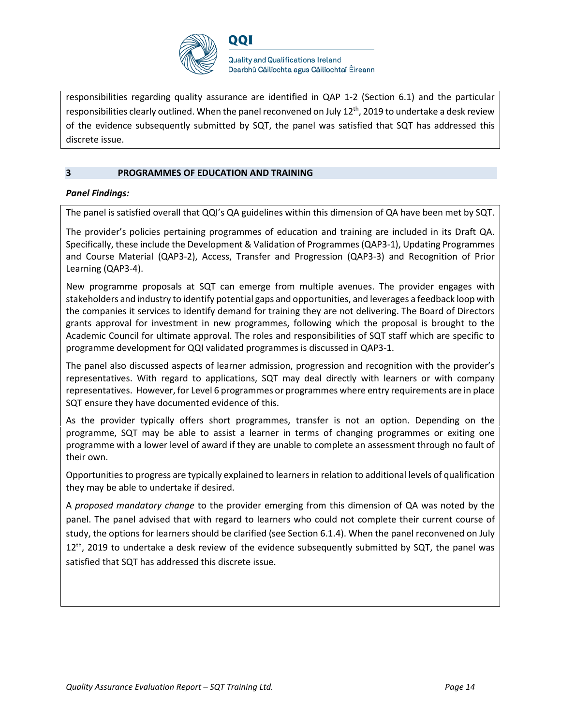

responsibilities regarding quality assurance are identified in QAP 1-2 (Section 6.1) and the particular responsibilities clearly outlined. When the panel reconvened on July  $12<sup>th</sup>$ , 2019 to undertake a desk review of the evidence subsequently submitted by SQT, the panel was satisfied that SQT has addressed this discrete issue.

#### **3 PROGRAMMES OF EDUCATION AND TRAINING**

#### *Panel Findings:*

The panel is satisfied overall that QQI's QA guidelines within this dimension of QA have been met by SQT.

The provider's policies pertaining programmes of education and training are included in its Draft QA. Specifically, these include the Development & Validation of Programmes (QAP3-1), Updating Programmes and Course Material (QAP3-2), Access, Transfer and Progression (QAP3-3) and Recognition of Prior Learning (QAP3-4).

New programme proposals at SQT can emerge from multiple avenues. The provider engages with stakeholders and industry to identify potential gaps and opportunities, and leverages a feedback loop with the companies it services to identify demand for training they are not delivering. The Board of Directors grants approval for investment in new programmes, following which the proposal is brought to the Academic Council for ultimate approval. The roles and responsibilities of SQT staff which are specific to programme development for QQI validated programmes is discussed in QAP3-1.

The panel also discussed aspects of learner admission, progression and recognition with the provider's representatives. With regard to applications, SQT may deal directly with learners or with company representatives. However, for Level 6 programmes or programmes where entry requirements are in place SQT ensure they have documented evidence of this.

As the provider typically offers short programmes, transfer is not an option. Depending on the programme, SQT may be able to assist a learner in terms of changing programmes or exiting one programme with a lower level of award if they are unable to complete an assessment through no fault of their own.

Opportunities to progress are typically explained to learners in relation to additional levels of qualification they may be able to undertake if desired.

A *proposed mandatory change* to the provider emerging from this dimension of QA was noted by the panel. The panel advised that with regard to learners who could not complete their current course of study, the options for learners should be clarified (see Section 6.1.4). When the panel reconvened on July 12<sup>th</sup>, 2019 to undertake a desk review of the evidence subsequently submitted by SQT, the panel was satisfied that SQT has addressed this discrete issue.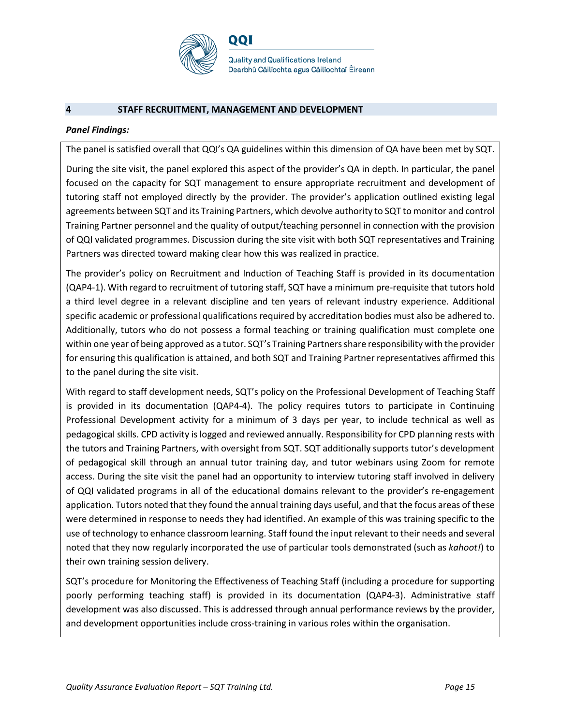

#### **4 STAFF RECRUITMENT, MANAGEMENT AND DEVELOPMENT**

#### *Panel Findings:*

The panel is satisfied overall that QQI's QA guidelines within this dimension of QA have been met by SQT.

During the site visit, the panel explored this aspect of the provider's QA in depth. In particular, the panel focused on the capacity for SQT management to ensure appropriate recruitment and development of tutoring staff not employed directly by the provider. The provider's application outlined existing legal agreements between SQT and its Training Partners, which devolve authority to SQT to monitor and control Training Partner personnel and the quality of output/teaching personnel in connection with the provision of QQI validated programmes. Discussion during the site visit with both SQT representatives and Training Partners was directed toward making clear how this was realized in practice.

The provider's policy on Recruitment and Induction of Teaching Staff is provided in its documentation (QAP4-1). With regard to recruitment of tutoring staff, SQT have a minimum pre-requisite that tutors hold a third level degree in a relevant discipline and ten years of relevant industry experience. Additional specific academic or professional qualifications required by accreditation bodies must also be adhered to. Additionally, tutors who do not possess a formal teaching or training qualification must complete one within one year of being approved as a tutor. SQT's Training Partners share responsibility with the provider for ensuring this qualification is attained, and both SQT and Training Partner representatives affirmed this to the panel during the site visit.

With regard to staff development needs, SQT's policy on the Professional Development of Teaching Staff is provided in its documentation (QAP4-4). The policy requires tutors to participate in Continuing Professional Development activity for a minimum of 3 days per year, to include technical as well as pedagogical skills. CPD activity is logged and reviewed annually. Responsibility for CPD planning rests with the tutors and Training Partners, with oversight from SQT. SQT additionally supports tutor's development of pedagogical skill through an annual tutor training day, and tutor webinars using Zoom for remote access. During the site visit the panel had an opportunity to interview tutoring staff involved in delivery of QQI validated programs in all of the educational domains relevant to the provider's re-engagement application. Tutors noted that they found the annual training days useful, and that the focus areas of these were determined in response to needs they had identified. An example of this was training specific to the use of technology to enhance classroom learning. Staff found the input relevant to their needs and several noted that they now regularly incorporated the use of particular tools demonstrated (such as *kahoot!*) to their own training session delivery.

SQT's procedure for Monitoring the Effectiveness of Teaching Staff (including a procedure for supporting poorly performing teaching staff) is provided in its documentation (QAP4-3). Administrative staff development was also discussed. This is addressed through annual performance reviews by the provider, and development opportunities include cross-training in various roles within the organisation.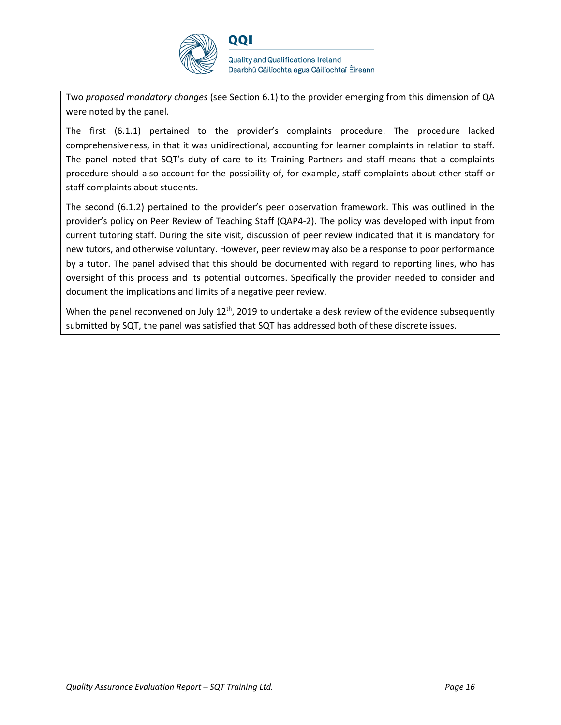

Two *proposed mandatory changes* (see Section 6.1) to the provider emerging from this dimension of QA were noted by the panel.

The first (6.1.1) pertained to the provider's complaints procedure. The procedure lacked comprehensiveness, in that it was unidirectional, accounting for learner complaints in relation to staff. The panel noted that SQT's duty of care to its Training Partners and staff means that a complaints procedure should also account for the possibility of, for example, staff complaints about other staff or staff complaints about students.

The second (6.1.2) pertained to the provider's peer observation framework. This was outlined in the provider's policy on Peer Review of Teaching Staff (QAP4-2). The policy was developed with input from current tutoring staff. During the site visit, discussion of peer review indicated that it is mandatory for new tutors, and otherwise voluntary. However, peer review may also be a response to poor performance by a tutor. The panel advised that this should be documented with regard to reporting lines, who has oversight of this process and its potential outcomes. Specifically the provider needed to consider and document the implications and limits of a negative peer review.

When the panel reconvened on July 12<sup>th</sup>, 2019 to undertake a desk review of the evidence subsequently submitted by SQT, the panel was satisfied that SQT has addressed both of these discrete issues.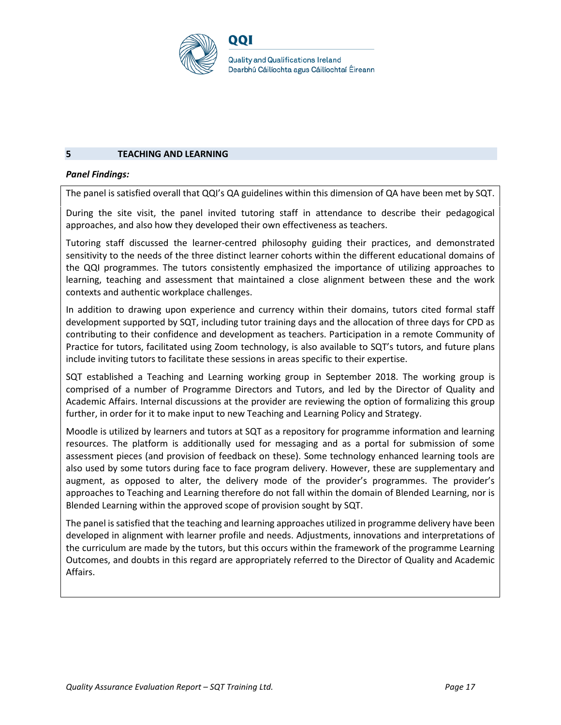

#### **5 TEACHING AND LEARNING**

#### *Panel Findings:*

The panel is satisfied overall that QQI's QA guidelines within this dimension of QA have been met by SQT.

During the site visit, the panel invited tutoring staff in attendance to describe their pedagogical approaches, and also how they developed their own effectiveness as teachers.

Tutoring staff discussed the learner-centred philosophy guiding their practices, and demonstrated sensitivity to the needs of the three distinct learner cohorts within the different educational domains of the QQI programmes. The tutors consistently emphasized the importance of utilizing approaches to learning, teaching and assessment that maintained a close alignment between these and the work contexts and authentic workplace challenges.

In addition to drawing upon experience and currency within their domains, tutors cited formal staff development supported by SQT, including tutor training days and the allocation of three days for CPD as contributing to their confidence and development as teachers. Participation in a remote Community of Practice for tutors, facilitated using Zoom technology, is also available to SQT's tutors, and future plans include inviting tutors to facilitate these sessions in areas specific to their expertise.

SQT established a Teaching and Learning working group in September 2018. The working group is comprised of a number of Programme Directors and Tutors, and led by the Director of Quality and Academic Affairs. Internal discussions at the provider are reviewing the option of formalizing this group further, in order for it to make input to new Teaching and Learning Policy and Strategy.

Moodle is utilized by learners and tutors at SQT as a repository for programme information and learning resources. The platform is additionally used for messaging and as a portal for submission of some assessment pieces (and provision of feedback on these). Some technology enhanced learning tools are also used by some tutors during face to face program delivery. However, these are supplementary and augment, as opposed to alter, the delivery mode of the provider's programmes. The provider's approaches to Teaching and Learning therefore do not fall within the domain of Blended Learning, nor is Blended Learning within the approved scope of provision sought by SQT.

The panel is satisfied that the teaching and learning approaches utilized in programme delivery have been developed in alignment with learner profile and needs. Adjustments, innovations and interpretations of the curriculum are made by the tutors, but this occurs within the framework of the programme Learning Outcomes, and doubts in this regard are appropriately referred to the Director of Quality and Academic Affairs.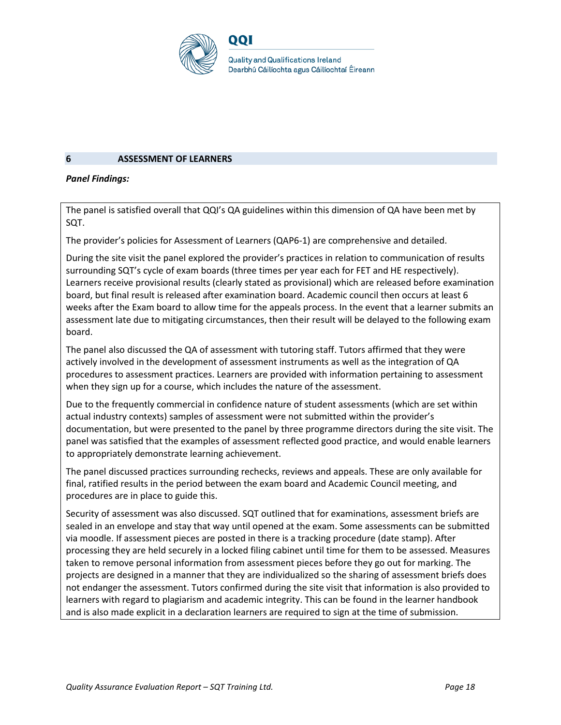

#### **6 ASSESSMENT OF LEARNERS**

#### *Panel Findings:*

The panel is satisfied overall that QQI's QA guidelines within this dimension of QA have been met by SQT.

The provider's policies for Assessment of Learners (QAP6-1) are comprehensive and detailed.

During the site visit the panel explored the provider's practices in relation to communication of results surrounding SQT's cycle of exam boards (three times per year each for FET and HE respectively). Learners receive provisional results (clearly stated as provisional) which are released before examination board, but final result is released after examination board. Academic council then occurs at least 6 weeks after the Exam board to allow time for the appeals process. In the event that a learner submits an assessment late due to mitigating circumstances, then their result will be delayed to the following exam board.

The panel also discussed the QA of assessment with tutoring staff. Tutors affirmed that they were actively involved in the development of assessment instruments as well as the integration of QA procedures to assessment practices. Learners are provided with information pertaining to assessment when they sign up for a course, which includes the nature of the assessment.

Due to the frequently commercial in confidence nature of student assessments (which are set within actual industry contexts) samples of assessment were not submitted within the provider's documentation, but were presented to the panel by three programme directors during the site visit. The panel was satisfied that the examples of assessment reflected good practice, and would enable learners to appropriately demonstrate learning achievement.

The panel discussed practices surrounding rechecks, reviews and appeals. These are only available for final, ratified results in the period between the exam board and Academic Council meeting, and procedures are in place to guide this.

Security of assessment was also discussed. SQT outlined that for examinations, assessment briefs are sealed in an envelope and stay that way until opened at the exam. Some assessments can be submitted via moodle. If assessment pieces are posted in there is a tracking procedure (date stamp). After processing they are held securely in a locked filing cabinet until time for them to be assessed. Measures taken to remove personal information from assessment pieces before they go out for marking. The projects are designed in a manner that they are individualized so the sharing of assessment briefs does not endanger the assessment. Tutors confirmed during the site visit that information is also provided to learners with regard to plagiarism and academic integrity. This can be found in the learner handbook and is also made explicit in a declaration learners are required to sign at the time of submission.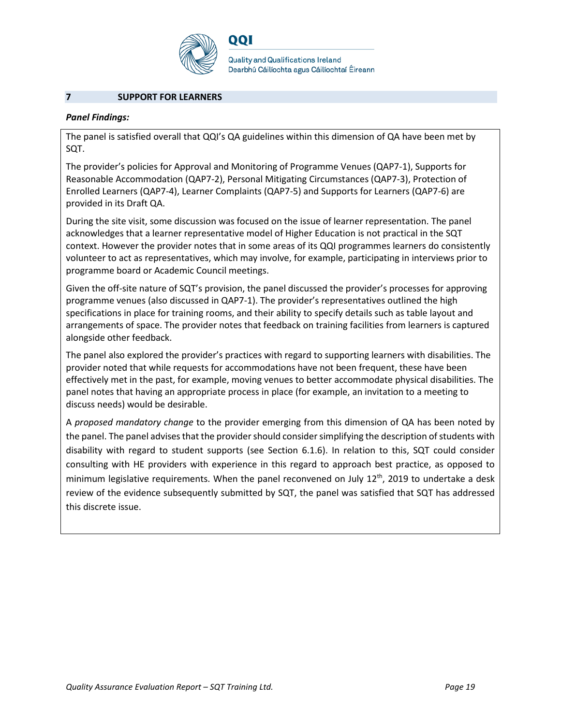

**Quality and Qualifications Ireland** Dearbhú Cáilíochta agus Cáilíochtaí Éireann

#### **7 SUPPORT FOR LEARNERS**

#### *Panel Findings:*

The panel is satisfied overall that QQI's QA guidelines within this dimension of QA have been met by SQT.

The provider's policies for Approval and Monitoring of Programme Venues (QAP7-1), Supports for Reasonable Accommodation (QAP7-2), Personal Mitigating Circumstances (QAP7-3), Protection of Enrolled Learners (QAP7-4), Learner Complaints (QAP7-5) and Supports for Learners (QAP7-6) are provided in its Draft QA.

During the site visit, some discussion was focused on the issue of learner representation. The panel acknowledges that a learner representative model of Higher Education is not practical in the SQT context. However the provider notes that in some areas of its QQI programmes learners do consistently volunteer to act as representatives, which may involve, for example, participating in interviews prior to programme board or Academic Council meetings.

Given the off-site nature of SQT's provision, the panel discussed the provider's processes for approving programme venues (also discussed in QAP7-1). The provider's representatives outlined the high specifications in place for training rooms, and their ability to specify details such as table layout and arrangements of space. The provider notes that feedback on training facilities from learners is captured alongside other feedback.

The panel also explored the provider's practices with regard to supporting learners with disabilities. The provider noted that while requests for accommodations have not been frequent, these have been effectively met in the past, for example, moving venues to better accommodate physical disabilities. The panel notes that having an appropriate process in place (for example, an invitation to a meeting to discuss needs) would be desirable.

A *proposed mandatory change* to the provider emerging from this dimension of QA has been noted by the panel. The panel advises that the provider should consider simplifying the description of students with disability with regard to student supports (see Section 6.1.6). In relation to this, SQT could consider consulting with HE providers with experience in this regard to approach best practice, as opposed to minimum legislative requirements. When the panel reconvened on July 12<sup>th</sup>, 2019 to undertake a desk review of the evidence subsequently submitted by SQT, the panel was satisfied that SQT has addressed this discrete issue.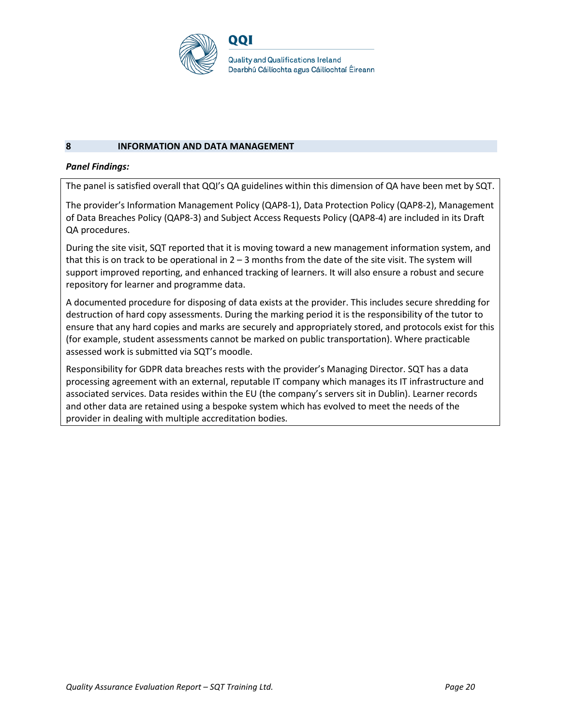

#### **8 INFORMATION AND DATA MANAGEMENT**

#### *Panel Findings:*

The panel is satisfied overall that QQI's QA guidelines within this dimension of QA have been met by SQT.

The provider's Information Management Policy (QAP8-1), Data Protection Policy (QAP8-2), Management of Data Breaches Policy (QAP8-3) and Subject Access Requests Policy (QAP8-4) are included in its Draft QA procedures.

During the site visit, SQT reported that it is moving toward a new management information system, and that this is on track to be operational in  $2 - 3$  months from the date of the site visit. The system will support improved reporting, and enhanced tracking of learners. It will also ensure a robust and secure repository for learner and programme data.

A documented procedure for disposing of data exists at the provider. This includes secure shredding for destruction of hard copy assessments. During the marking period it is the responsibility of the tutor to ensure that any hard copies and marks are securely and appropriately stored, and protocols exist for this (for example, student assessments cannot be marked on public transportation). Where practicable assessed work is submitted via SQT's moodle.

Responsibility for GDPR data breaches rests with the provider's Managing Director. SQT has a data processing agreement with an external, reputable IT company which manages its IT infrastructure and associated services. Data resides within the EU (the company's servers sit in Dublin). Learner records and other data are retained using a bespoke system which has evolved to meet the needs of the provider in dealing with multiple accreditation bodies.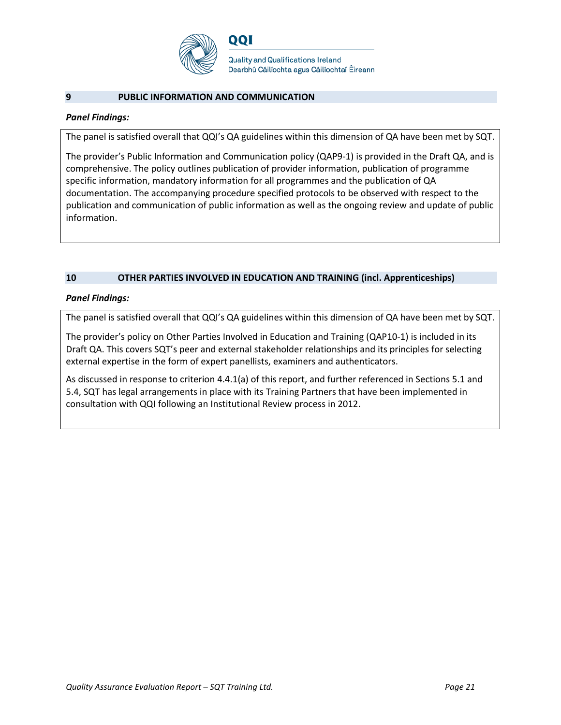

#### **9 PUBLIC INFORMATION AND COMMUNICATION**

#### *Panel Findings:*

The panel is satisfied overall that QQI's QA guidelines within this dimension of QA have been met by SQT.

The provider's Public Information and Communication policy (QAP9-1) is provided in the Draft QA, and is comprehensive. The policy outlines publication of provider information, publication of programme specific information, mandatory information for all programmes and the publication of QA documentation. The accompanying procedure specified protocols to be observed with respect to the publication and communication of public information as well as the ongoing review and update of public information.

#### **10 OTHER PARTIES INVOLVED IN EDUCATION AND TRAINING (incl. Apprenticeships)**

#### *Panel Findings:*

The panel is satisfied overall that QQI's QA guidelines within this dimension of QA have been met by SQT.

The provider's policy on Other Parties Involved in Education and Training (QAP10-1) is included in its Draft QA. This covers SQT's peer and external stakeholder relationships and its principles for selecting external expertise in the form of expert panellists, examiners and authenticators.

As discussed in response to criterion 4.4.1(a) of this report, and further referenced in Sections 5.1 and 5.4, SQT has legal arrangements in place with its Training Partners that have been implemented in consultation with QQI following an Institutional Review process in 2012.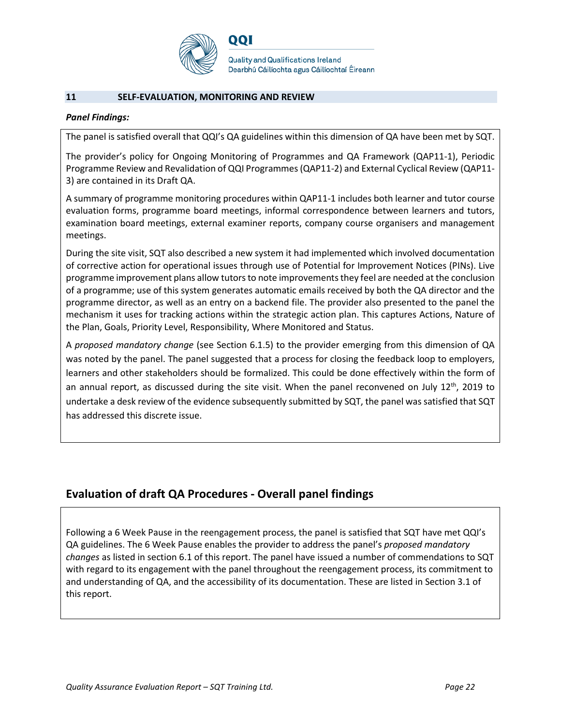

#### **11 SELF-EVALUATION, MONITORING AND REVIEW**

#### *Panel Findings:*

The panel is satisfied overall that QQI's QA guidelines within this dimension of QA have been met by SQT.

The provider's policy for Ongoing Monitoring of Programmes and QA Framework (QAP11-1), Periodic Programme Review and Revalidation of QQI Programmes (QAP11-2) and External Cyclical Review (QAP11- 3) are contained in its Draft QA.

A summary of programme monitoring procedures within QAP11-1 includes both learner and tutor course evaluation forms, programme board meetings, informal correspondence between learners and tutors, examination board meetings, external examiner reports, company course organisers and management meetings.

During the site visit, SQT also described a new system it had implemented which involved documentation of corrective action for operational issues through use of Potential for Improvement Notices (PINs). Live programme improvement plans allow tutors to note improvements they feel are needed at the conclusion of a programme; use of this system generates automatic emails received by both the QA director and the programme director, as well as an entry on a backend file. The provider also presented to the panel the mechanism it uses for tracking actions within the strategic action plan. This captures Actions, Nature of the Plan, Goals, Priority Level, Responsibility, Where Monitored and Status.

A *proposed mandatory change* (see Section 6.1.5) to the provider emerging from this dimension of QA was noted by the panel. The panel suggested that a process for closing the feedback loop to employers, learners and other stakeholders should be formalized. This could be done effectively within the form of an annual report, as discussed during the site visit. When the panel reconvened on July 12<sup>th</sup>, 2019 to undertake a desk review of the evidence subsequently submitted by SQT, the panel was satisfied that SQT has addressed this discrete issue.

### **Evaluation of draft QA Procedures - Overall panel findings**

Following a 6 Week Pause in the reengagement process, the panel is satisfied that SQT have met QQI's QA guidelines. The 6 Week Pause enables the provider to address the panel's *proposed mandatory changes* as listed in section 6.1 of this report. The panel have issued a number of commendations to SQT with regard to its engagement with the panel throughout the reengagement process, its commitment to and understanding of QA, and the accessibility of its documentation. These are listed in Section 3.1 of this report.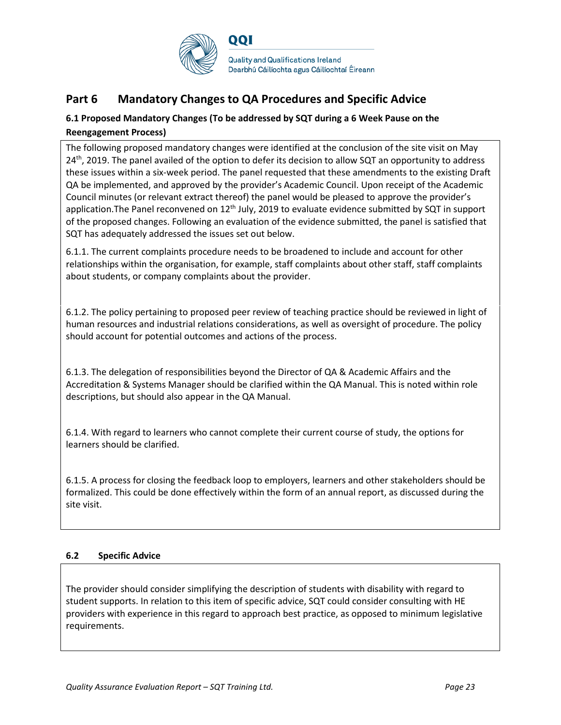

# **Part 6 Mandatory Changes to QA Procedures and Specific Advice**

### **6.1 Proposed Mandatory Changes (To be addressed by SQT during a 6 Week Pause on the Reengagement Process)**

The following proposed mandatory changes were identified at the conclusion of the site visit on May  $24<sup>th</sup>$ , 2019. The panel availed of the option to defer its decision to allow SQT an opportunity to address these issues within a six-week period. The panel requested that these amendments to the existing Draft QA be implemented, and approved by the provider's Academic Council. Upon receipt of the Academic Council minutes (or relevant extract thereof) the panel would be pleased to approve the provider's application. The Panel reconvened on  $12<sup>th</sup>$  July, 2019 to evaluate evidence submitted by SQT in support of the proposed changes. Following an evaluation of the evidence submitted, the panel is satisfied that SQT has adequately addressed the issues set out below.

6.1.1. The current complaints procedure needs to be broadened to include and account for other relationships within the organisation, for example, staff complaints about other staff, staff complaints about students, or company complaints about the provider.

6.1.2. The policy pertaining to proposed peer review of teaching practice should be reviewed in light of human resources and industrial relations considerations, as well as oversight of procedure. The policy should account for potential outcomes and actions of the process.

6.1.3. The delegation of responsibilities beyond the Director of QA & Academic Affairs and the Accreditation & Systems Manager should be clarified within the QA Manual. This is noted within role descriptions, but should also appear in the QA Manual.

6.1.4. With regard to learners who cannot complete their current course of study, the options for learners should be clarified.

6.1.5. A process for closing the feedback loop to employers, learners and other stakeholders should be formalized. This could be done effectively within the form of an annual report, as discussed during the site visit.

#### **6.2 Specific Advice**

The provider should consider simplifying the description of students with disability with regard to student supports. In relation to this item of specific advice, SQT could consider consulting with HE providers with experience in this regard to approach best practice, as opposed to minimum legislative requirements.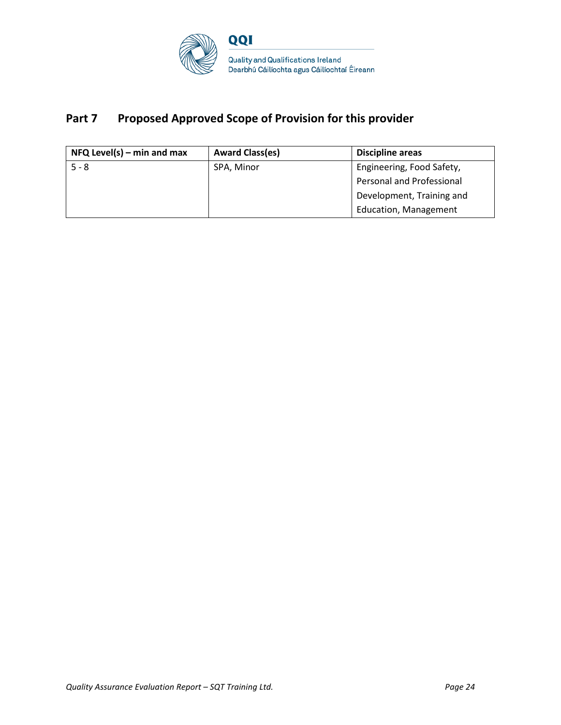

# Part 7 Proposed Approved Scope of Provision for this provider

| $NFA$ Level(s) – min and max | <b>Award Class(es)</b> | <b>Discipline areas</b>          |
|------------------------------|------------------------|----------------------------------|
| $5 - 8$                      | SPA, Minor             | Engineering, Food Safety,        |
|                              |                        | <b>Personal and Professional</b> |
|                              |                        | Development, Training and        |
|                              |                        | <b>Education, Management</b>     |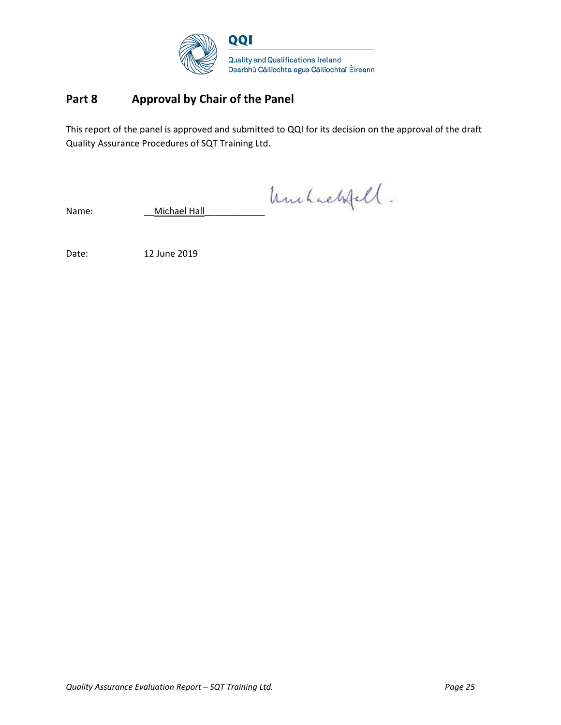

## **Part 8 Approval by Chair of the Panel**

This report of the panel is approved and submitted to QQI for its decision on the approval of the draft Quality Assurance Procedures of SQT Training Ltd.

Name: Michael Hall huchaelsfell.

Date: 12 June 2019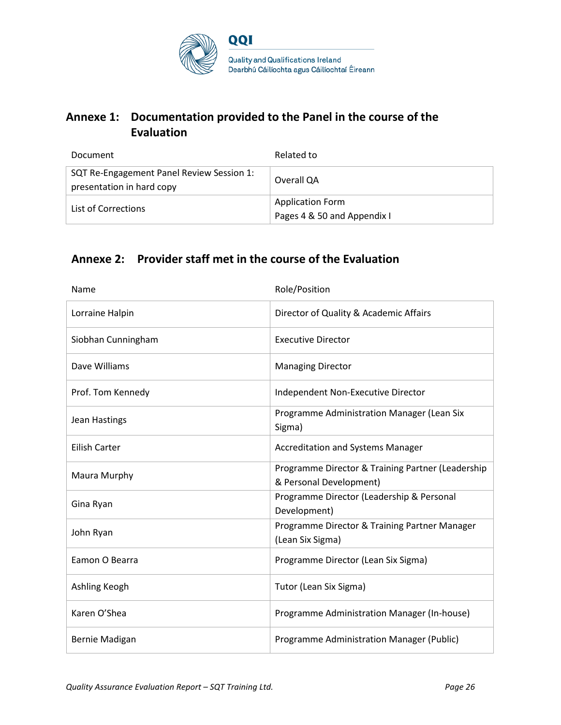

# **Annexe 1: Documentation provided to the Panel in the course of the Evaluation**

| Document                                                               | Related to                                             |
|------------------------------------------------------------------------|--------------------------------------------------------|
| SQT Re-Engagement Panel Review Session 1:<br>presentation in hard copy | Overall QA                                             |
| List of Corrections                                                    | <b>Application Form</b><br>Pages 4 & 50 and Appendix I |

# **Annexe 2: Provider staff met in the course of the Evaluation**

| Name                 | Role/Position                                                                |
|----------------------|------------------------------------------------------------------------------|
| Lorraine Halpin      | Director of Quality & Academic Affairs                                       |
| Siobhan Cunningham   | <b>Executive Director</b>                                                    |
| Dave Williams        | <b>Managing Director</b>                                                     |
| Prof. Tom Kennedy    | Independent Non-Executive Director                                           |
| Jean Hastings        | Programme Administration Manager (Lean Six<br>Sigma)                         |
| <b>Eilish Carter</b> | <b>Accreditation and Systems Manager</b>                                     |
| Maura Murphy         | Programme Director & Training Partner (Leadership<br>& Personal Development) |
| Gina Ryan            | Programme Director (Leadership & Personal<br>Development)                    |
| John Ryan            | Programme Director & Training Partner Manager<br>(Lean Six Sigma)            |
| Eamon O Bearra       | Programme Director (Lean Six Sigma)                                          |
| Ashling Keogh        | Tutor (Lean Six Sigma)                                                       |
| Karen O'Shea         | Programme Administration Manager (In-house)                                  |
| Bernie Madigan       | Programme Administration Manager (Public)                                    |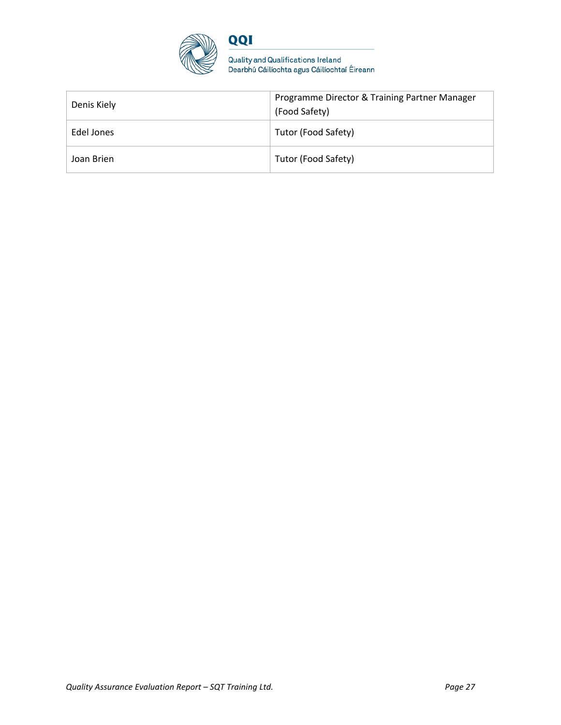

Quality and Qualifications Ireland<br>Dearbhú Cáilíochta agus Cáilíochtaí Éireann

| Denis Kiely | Programme Director & Training Partner Manager<br>(Food Safety) |
|-------------|----------------------------------------------------------------|
| Edel Jones  | Tutor (Food Safety)                                            |
| Joan Brien  | Tutor (Food Safety)                                            |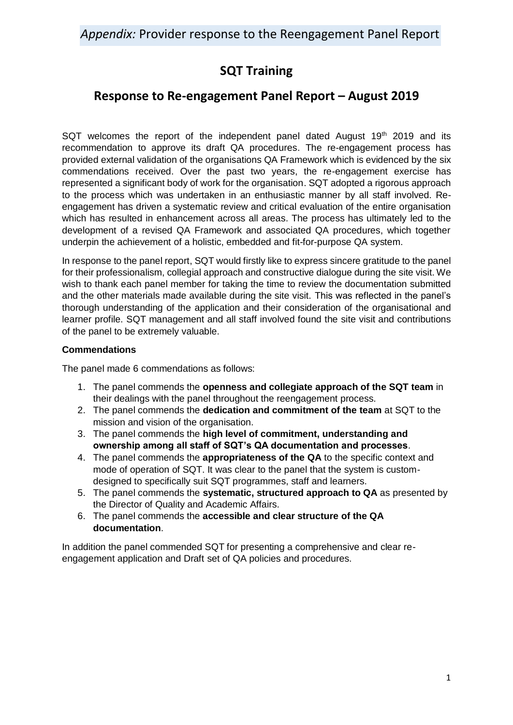# **SQT Training**

# **Response to Re-engagement Panel Report – August 2019**

SQT welcomes the report of the independent panel dated August  $19<sup>th</sup>$  2019 and its recommendation to approve its draft QA procedures. The re-engagement process has provided external validation of the organisations QA Framework which is evidenced by the six commendations received. Over the past two years, the re-engagement exercise has represented a significant body of work for the organisation. SQT adopted a rigorous approach to the process which was undertaken in an enthusiastic manner by all staff involved. Reengagement has driven a systematic review and critical evaluation of the entire organisation which has resulted in enhancement across all areas. The process has ultimately led to the development of a revised QA Framework and associated QA procedures, which together underpin the achievement of a holistic, embedded and fit-for-purpose QA system.

In response to the panel report, SQT would firstly like to express sincere gratitude to the panel for their professionalism, collegial approach and constructive dialogue during the site visit. We wish to thank each panel member for taking the time to review the documentation submitted and the other materials made available during the site visit. This was reflected in the panel's thorough understanding of the application and their consideration of the organisational and learner profile. SQT management and all staff involved found the site visit and contributions of the panel to be extremely valuable.

### **Commendations**

The panel made 6 commendations as follows:

- 1. The panel commends the **openness and collegiate approach of the SQT team** in their dealings with the panel throughout the reengagement process.
- 2. The panel commends the **dedication and commitment of the team** at SQT to the mission and vision of the organisation.
- 3. The panel commends the **high level of commitment, understanding and ownership among all staff of SQT's QA documentation and processes**.
- 4. The panel commends the **appropriateness of the QA** to the specific context and mode of operation of SQT. It was clear to the panel that the system is customdesigned to specifically suit SQT programmes, staff and learners.
- 5. The panel commends the **systematic, structured approach to QA** as presented by the Director of Quality and Academic Affairs.
- 6. The panel commends the **accessible and clear structure of the QA documentation**.

In addition the panel commended SQT for presenting a comprehensive and clear reengagement application and Draft set of QA policies and procedures.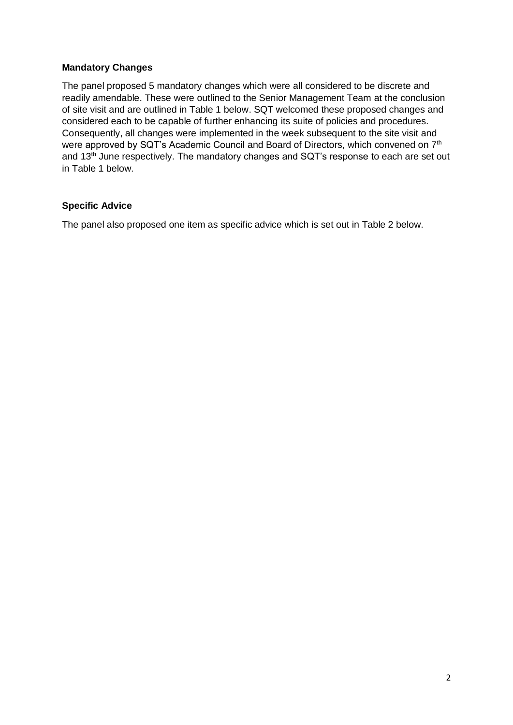### **Mandatory Changes**

The panel proposed 5 mandatory changes which were all considered to be discrete and readily amendable. These were outlined to the Senior Management Team at the conclusion of site visit and are outlined in Table 1 below. SQT welcomed these proposed changes and considered each to be capable of further enhancing its suite of policies and procedures. Consequently, all changes were implemented in the week subsequent to the site visit and were approved by SQT's Academic Council and Board of Directors, which convened on 7<sup>th</sup> and 13<sup>th</sup> June respectively. The mandatory changes and SQT's response to each are set out in Table 1 below.

### **Specific Advice**

The panel also proposed one item as specific advice which is set out in Table 2 below.